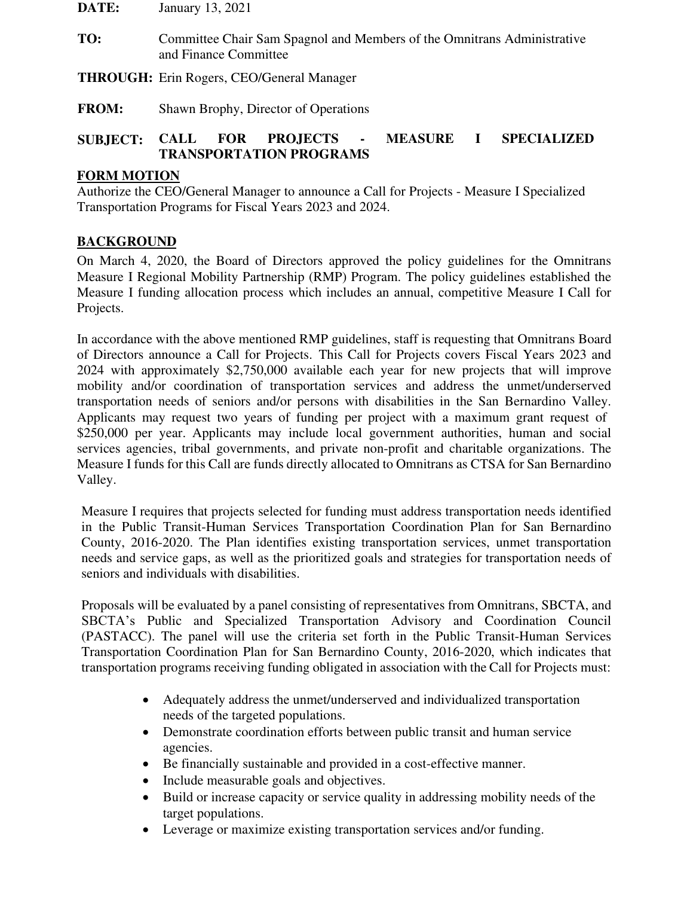**DATE:** January 13, 2021

**TO:** Committee Chair Sam Spagnol and Members of the Omnitrans Administrative and Finance Committee

**THROUGH:** Erin Rogers, CEO/General Manager

**FROM:** Shawn Brophy, Director of Operations

## **SUBJECT: CALL FOR PROJECTS - MEASURE I SPECIALIZED TRANSPORTATION PROGRAMS**

#### **FORM MOTION**

Authorize the CEO/General Manager to announce a Call for Projects - Measure I Specialized Transportation Programs for Fiscal Years 2023 and 2024.

### **BACKGROUND**

On March 4, 2020, the Board of Directors approved the policy guidelines for the Omnitrans Measure I Regional Mobility Partnership (RMP) Program. The policy guidelines established the Measure I funding allocation process which includes an annual, competitive Measure I Call for Projects.

In accordance with the above mentioned RMP guidelines, staff is requesting that Omnitrans Board of Directors announce a Call for Projects. This Call for Projects covers Fiscal Years 2023 and 2024 with approximately \$2,750,000 available each year for new projects that will improve mobility and/or coordination of transportation services and address the unmet/underserved transportation needs of seniors and/or persons with disabilities in the San Bernardino Valley. Applicants may request two years of funding per project with a maximum grant request of \$250,000 per year. Applicants may include local government authorities, human and social services agencies, tribal governments, and private non-profit and charitable organizations. The Measure I funds for this Call are funds directly allocated to Omnitrans as CTSA for San Bernardino Valley.

Measure I requires that projects selected for funding must address transportation needs identified in the Public Transit-Human Services Transportation Coordination Plan for San Bernardino County, 2016-2020. The Plan identifies existing transportation services, unmet transportation needs and service gaps, as well as the prioritized goals and strategies for transportation needs of seniors and individuals with disabilities.

Proposals will be evaluated by a panel consisting of representatives from Omnitrans, SBCTA, and SBCTA's Public and Specialized Transportation Advisory and Coordination Council (PASTACC). The panel will use the criteria set forth in the Public Transit-Human Services Transportation Coordination Plan for San Bernardino County, 2016-2020, which indicates that transportation programs receiving funding obligated in association with the Call for Projects must:

- Adequately address the unmet/underserved and individualized transportation needs of the targeted populations.
- Demonstrate coordination efforts between public transit and human service agencies.
- Be financially sustainable and provided in a cost-effective manner.
- Include measurable goals and objectives.
- Build or increase capacity or service quality in addressing mobility needs of the target populations.
- Leverage or maximize existing transportation services and/or funding.